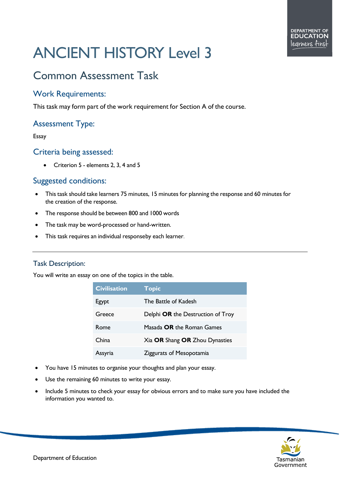# ANCIENT HISTORY Level 3

# Common Assessment Task

# Work Requirements:

This task may form part of the work requirement for Section A of the course.

# Assessment Type:

#### Essay

## Criteria being assessed:

• Criterion 5 - elements 2, 3, 4 and 5

# Suggested conditions:

- This task should take learners 75 minutes, 15 minutes for planning the response and 60 minutes for the creation of the response.
- The response should be between 800 and 1000 words
- The task may be word-processed or hand-written.
- This task requires an individual responseby each learner.

## Task Description:

You will write an essay on one of the topics in the table.

| <b>Civilisation</b> | <b>Topic</b>                      |
|---------------------|-----------------------------------|
| Egypt               | The Battle of Kadesh              |
| Greece              | Delphi OR the Destruction of Troy |
| Rome                | Masada <b>OR</b> the Roman Games  |
| China               | Xia OR Shang OR Zhou Dynasties    |
| Assyria             | Ziggurats of Mesopotamia          |

- You have 15 minutes to organise your thoughts and plan your essay.
- Use the remaining 60 minutes to write your essay.
- Include 5 minutes to check your essay for obvious errors and to make sure you have included the information you wanted to.